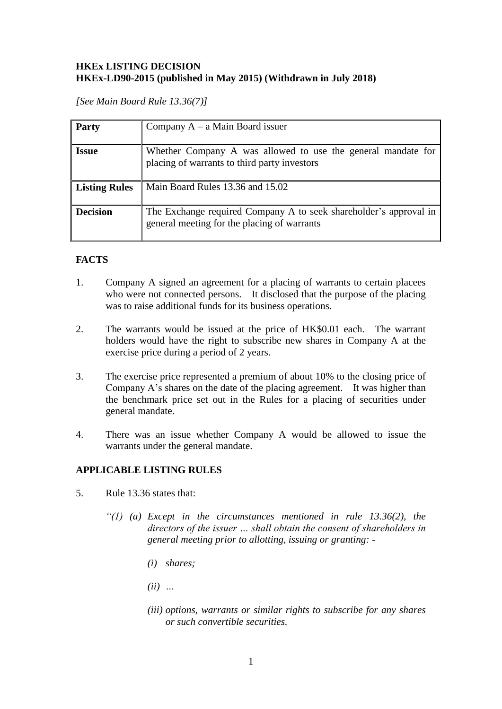## **HKEx LISTING DECISION HKEx-LD90-2015 (published in May 2015) (Withdrawn in July 2018)**

*[See Main Board Rule 13.36(7)]*

| <b>Party</b>         | Company $A - a$ Main Board issuer                                                                                |
|----------------------|------------------------------------------------------------------------------------------------------------------|
| <b>Issue</b>         | Whether Company A was allowed to use the general mandate for<br>placing of warrants to third party investors     |
| <b>Listing Rules</b> | Main Board Rules 13.36 and 15.02                                                                                 |
| <b>Decision</b>      | The Exchange required Company A to seek shareholder's approval in<br>general meeting for the placing of warrants |

# **FACTS**

- 1. Company A signed an agreement for a placing of warrants to certain placees who were not connected persons. It disclosed that the purpose of the placing was to raise additional funds for its business operations.
- 2. The warrants would be issued at the price of HK\$0.01 each. The warrant holders would have the right to subscribe new shares in Company A at the exercise price during a period of 2 years.
- 3. The exercise price represented a premium of about 10% to the closing price of Company A's shares on the date of the placing agreement. It was higher than the benchmark price set out in the Rules for a placing of securities under general mandate.
- 4. There was an issue whether Company A would be allowed to issue the warrants under the general mandate.

### **APPLICABLE LISTING RULES**

- 5. Rule 13.36 states that:
	- *"(1) (a) Except in the circumstances mentioned in rule 13.36(2), the directors of the issuer … shall obtain the consent of shareholders in general meeting prior to allotting, issuing or granting: -*
		- *(i) shares;*
		- *(ii) …*
		- *(iii) options, warrants or similar rights to subscribe for any shares or such convertible securities.*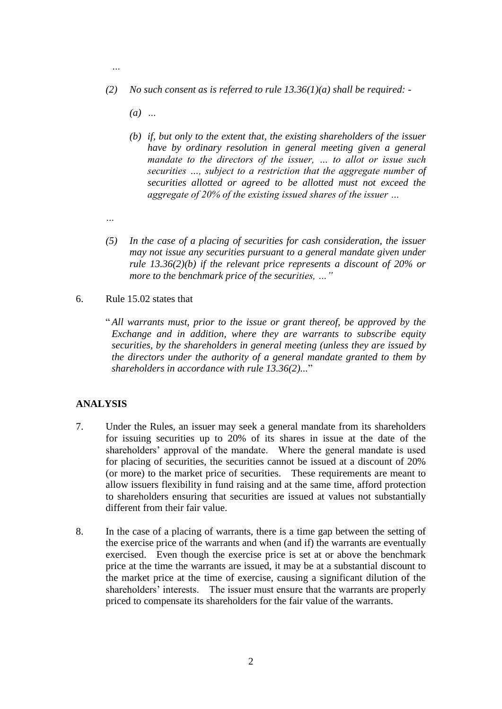- *(2) No such consent as is referred to rule 13.36(1)(a) shall be required: -*
	- *(a) …*
	- *(b) if, but only to the extent that, the existing shareholders of the issuer have by ordinary resolution in general meeting given a general mandate to the directors of the issuer, … to allot or issue such securities …, subject to a restriction that the aggregate number of securities allotted or agreed to be allotted must not exceed the aggregate of 20% of the existing issued shares of the issuer …*
- *…*

*…*

- *(5) In the case of a placing of securities for cash consideration, the issuer may not issue any securities pursuant to a general mandate given under rule 13.36(2)(b) if the relevant price represents a discount of 20% or more to the benchmark price of the securities, …"*
- 6. Rule 15.02 states that
	- " *All warrants must, prior to the issue or grant thereof, be approved by the Exchange and in addition, where they are warrants to subscribe equity securities, by the shareholders in general meeting (unless they are issued by the directors under the authority of a general mandate granted to them by shareholders in accordance with rule 13.36(2)...*"

#### **ANALYSIS**

- 7. Under the Rules, an issuer may seek a general mandate from its shareholders for issuing securities up to 20% of its shares in issue at the date of the shareholders' approval of the mandate. Where the general mandate is used for placing of securities, the securities cannot be issued at a discount of 20% (or more) to the market price of securities. These requirements are meant to allow issuers flexibility in fund raising and at the same time, afford protection to shareholders ensuring that securities are issued at values not substantially different from their fair value.
- 8. In the case of a placing of warrants, there is a time gap between the setting of the exercise price of the warrants and when (and if) the warrants are eventually exercised. Even though the exercise price is set at or above the benchmark price at the time the warrants are issued, it may be at a substantial discount to the market price at the time of exercise, causing a significant dilution of the shareholders' interests. The issuer must ensure that the warrants are properly priced to compensate its shareholders for the fair value of the warrants.